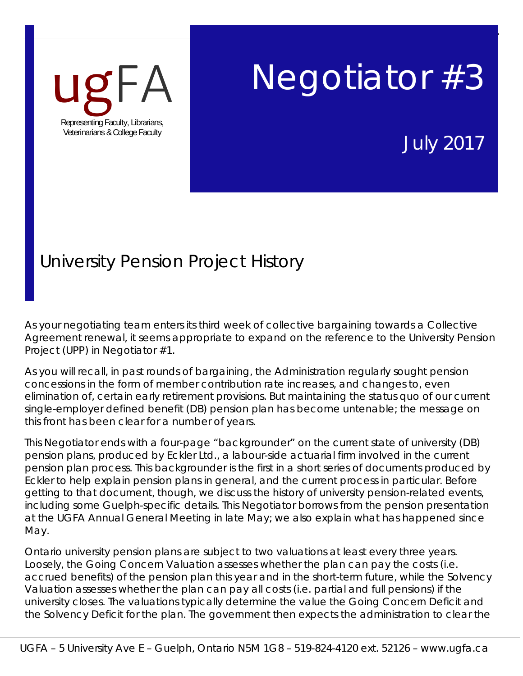

# Negotiator #3

July 2017

Page | **1** 

## University Pension Project History

As your negotiating team enters its third week of collective bargaining towards a Collective Agreement renewal, it seems appropriate to expand on the reference to the University Pension Project (UPP) in Negotiator #1.

As you will recall, in past rounds of bargaining, the Administration regularly sought pension concessions in the form of member contribution rate increases, and changes to, even elimination of, certain early retirement provisions. But maintaining the status quo of our current single-employer defined benefit (DB) pension plan has become untenable; the message on this front has been clear for a number of years.

This Negotiator ends with a four-page "backgrounder" on the current state of university (DB) pension plans, produced by Eckler Ltd., a labour-side actuarial firm involved in the current pension plan process. This backgrounder is the first in a short series of documents produced by Eckler to help explain pension plans in general, and the current process in particular. Before getting to that document, though, we discuss the history of university pension-related events, including some Guelph-specific details. This Negotiator borrows from the pension presentation at the UGFA Annual General Meeting in late May; we also explain what has happened since May.

Ontario university pension plans are subject to two valuations at least every three years. Loosely, the Going Concern Valuation assesses whether the plan can pay the costs (i.e. accrued benefits) of the pension plan this year and in the short-term future, while the Solvency Valuation assesses whether the plan can pay all costs (i.e. partial and full pensions) if the university closes. The valuations typically determine the value the Going Concern Deficit and the Solvency Deficit for the plan. The government then expects the administration to clear the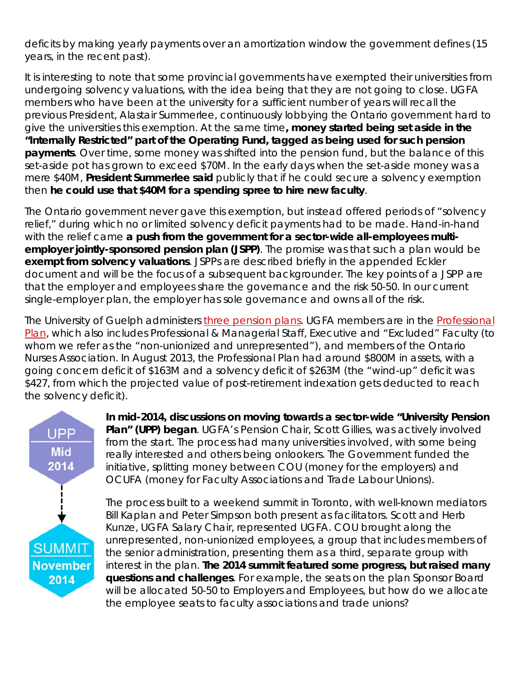deficits by making yearly payments over an amortization window the government defines (15 years, in the recent past).

It is interesting to note that some provincial governments have exempted their universities from undergoing solvency valuations, with the idea being that they are not going to close. UGFA members who have been at the university for a sufficient number of years will recall the previous President, Alastair Summerlee, continuously lobbying the Ontario government hard to give the universities this exemption. At the same time**, money started being set aside in the "Internally Restricted" part of the Operating Fund, tagged as being used for such pension payments**. Over time, some money was shifted into the pension fund, but the balance of this set-aside pot has grown to exceed \$70M. In the early days when the set-aside money was a mere \$40M, **President Summerlee said** publicly that if he could secure a solvency exemption then **he could use that \$40M for a spending spree to hire new faculty**.

The Ontario government never gave this exemption, but instead offered periods of "solvency relief," during which no or limited solvency deficit payments had to be made. Hand-in-hand with the relief came **a push from the government for a sector-wide all-employees multiemployer jointly-sponsored pension plan (JSPP)**. The promise was that such a plan would be **exempt from solvency valuations**. JSPPs are described briefly in the appended Eckler document and will be the focus of a subsequent backgrounder. The key points of a JSPP are that the employer and employees share the governance and the risk 50-50. In our current single-employer plan, the employer has sole governance and owns all of the risk.

The University of Guelph administers three pension plans. UGFA members are in the Professional Plan, which also includes Professional & Managerial Staff, Executive and "Excluded" Faculty (to whom we refer as the "non-unionized and unrepresented"), and members of the Ontario Nurses Association. In August 2013, the Professional Plan had around \$800M in assets, with a going concern deficit of \$163M and a solvency deficit of \$263M (the "wind-up" deficit was \$427, from which the projected value of post-retirement indexation gets deducted to reach the solvency deficit).



**In mid-2014, discussions on moving towards a sector-wide "University Pension Plan" (UPP) began**. UGFA's Pension Chair, Scott Gillies, was actively involved from the start. The process had many universities involved, with some being really interested and others being onlookers. The Government funded the initiative, splitting money between COU (money for the employers) and OCUFA (money for Faculty Associations and Trade Labour Unions).

The process built to a weekend summit in Toronto, with well-known mediators Bill Kaplan and Peter Simpson both present as facilitators. Scott and Herb Kunze, UGFA Salary Chair, represented UGFA. COU brought along the unrepresented, non-unionized employees, a group that includes members of the senior administration, presenting them as a third, separate group with interest in the plan. **The 2014 summit featured some progress, but raised many questions and challenges**. For example, the seats on the plan Sponsor Board will be allocated 50-50 to Employers and Employees, but how do we allocate the employee seats to faculty associations and trade unions?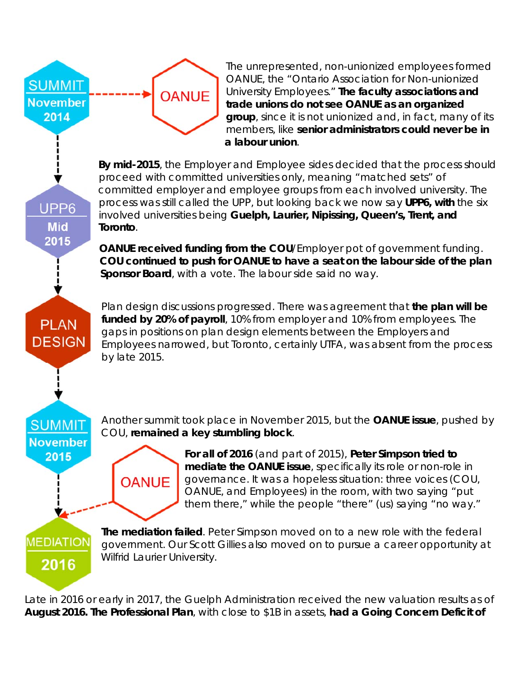

The unrepresented, non-unionized employees formed OANUE, the "Ontario Association for Non-unionized University Employees." **The faculty associations and trade unions do not see OANUE as an organized group**, since it is not unionized and, in fact, many of its members, like **senior administrators could never be in a labour union**.

**By mid-2015**, the Employer and Employee sides decided that the process should proceed with committed universities only, meaning "matched sets" of committed employer and employee groups from each involved university. The process was still called the UPP, but looking back we now say **UPP6, with** the six involved universities being **Guelph, Laurier, Nipissing, Queen's, Trent, and Toronto**.

**OANUE received funding from the COU**/Employer pot of government funding. **COU continued to push for OANUE to have a seat on the labour side of the plan Sponsor Board**, with a vote. The labour side said no way.

Plan design discussions progressed. There was agreement that **the plan will be funded by 20% of payroll**, 10% from employer and 10% from employees. The **PLAN DESIGN** 

gaps in positions on plan design elements between the Employers and Employees narrowed, but Toronto, certainly UTFA, was absent from the process by late 2015.

**SUMMIT November** 2015

UPP<sub>6</sub>

**Mid** 2015

> Another summit took place in November 2015, but the **OANUE issue**, pushed by COU, **remained a key stumbling block**.

**OANUE** 

**For all of 2016** (and part of 2015), **Peter Simpson tried to mediate the OANUE issue**, specifically its role or non-role in governance. It was a hopeless situation: three voices (COU, OANUE, and Employees) in the room, with two saying "put them there," while the people "there" (us) saying "no way."

**MEDIATION** 2016

**The mediation failed**. Peter Simpson moved on to a new role with the federal government. Our Scott Gillies also moved on to pursue a career opportunity at Wilfrid Laurier University.

Late in 2016 or early in 2017, the Guelph Administration received the new valuation results as of **August 2016. The Professional Plan**, with close to \$1B in assets, **had a Going Concern Deficit of**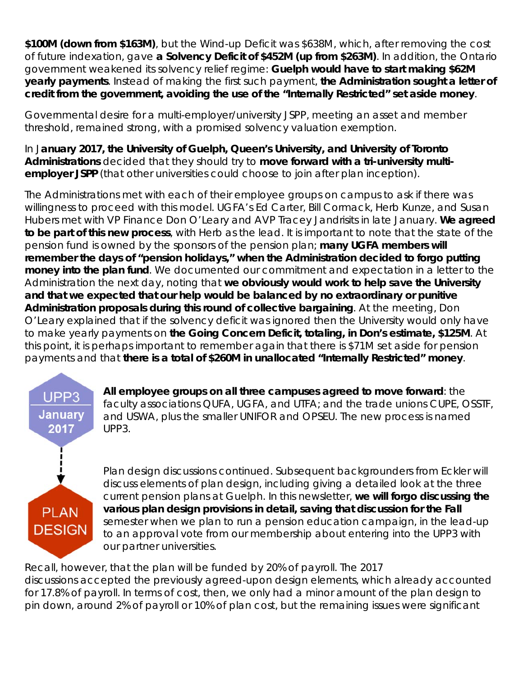**\$100M (down from \$163M)**, but the Wind-up Deficit was \$638M, which, after removing the cost of future indexation, gave **a Solvency Deficit of \$452M (up from \$263M)**. In addition, the Ontario government weakened its solvency relief regime: **Guelph would have to start making \$62M yearly payments**. Instead of making the first such payment, **the Administration sought a letter of credit from the government, avoiding the use of the "Internally Restricted" set aside money**.

Governmental desire for a multi-employer/university JSPP, meeting an asset and member threshold, remained strong, with a promised solvency valuation exemption.

In J**anuary 2017, the University of Guelph, Queen's University, and University of Toronto Administrations** decided that they should try to **move forward with a tri-university multiemployer JSPP** (that other universities could choose to join after plan inception).

The Administrations met with each of their employee groups on campus to ask if there was willingness to proceed with this model. UGFA's Ed Carter, Bill Cormack, Herb Kunze, and Susan Hubers met with VP Finance Don O'Leary and AVP Tracey Jandrisits in late January. **We agreed to be part of this new process**, with Herb as the lead. It is important to note that the state of the pension fund is owned by the sponsors of the pension plan; **many UGFA members will remember the days of "pension holidays," when the Administration decided to forgo putting money into the plan fund**. We documented our commitment and expectation in a letter to the Administration the next day, noting that **we obviously would work to help save the University and that we expected that our help would be balanced by no extraordinary or punitive Administration proposals during this round of collective bargaining**. At the meeting, Don O'Leary explained that if the solvency deficit was ignored then the University would only have to make yearly payments on **the Going Concern Deficit, totaling, in Don's estimate, \$125M**. At this point, it is perhaps important to remember again that there is \$71M set aside for pension payments and that **there is a total of \$260M in unallocated "Internally Restricted" money**.



**All employee groups on all three campuses agreed to move forward**: the faculty associations QUFA, UGFA, and UTFA; and the trade unions CUPE, OSSTF, and USWA, plus the smaller UNIFOR and OPSEU. The new process is named UPP3.

Plan design discussions continued. Subsequent backgrounders from Eckler will discuss elements of plan design, including giving a detailed look at the three current pension plans at Guelph. In this newsletter, **we will forgo discussing the various plan design provisions in detail, saving that discussion for the Fall** semester when we plan to run a pension education campaign, in the lead-up to an approval vote from our membership about entering into the UPP3 with our partner universities.

Recall, however, that the plan will be funded by 20% of payroll. The 2017 discussions accepted the previously agreed-upon design elements, which already accounted for 17.8% of payroll. In terms of cost, then, we only had a minor amount of the plan design to pin down, around 2% of payroll or 10% of plan cost, but the remaining issues were significant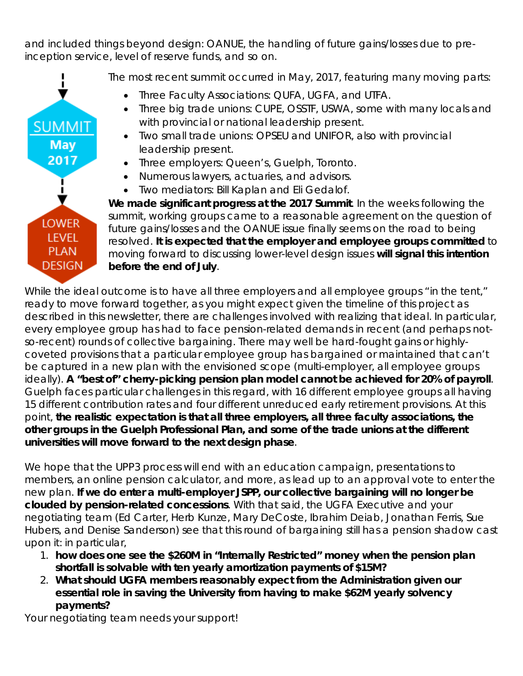and included things beyond design: OANUE, the handling of future gains/losses due to preinception service, level of reserve funds, and so on.



The most recent summit occurred in May, 2017, featuring many moving parts:

- Three Faculty Associations: QUFA, UGFA, and UTFA.
- Three big trade unions: CUPE, OSSTF, USWA, some with many locals and with provincial or national leadership present.
- Two small trade unions: OPSEU and UNIFOR, also with provincial leadership present.
- Three employers: Queen's, Guelph, Toronto.
- Numerous lawyers, actuaries, and advisors.
- Two mediators: Bill Kaplan and Eli Gedalof.

**We made significant progress at the 2017 Summit**. In the weeks following the summit, working groups came to a reasonable agreement on the question of future gains/losses and the OANUE issue finally seems on the road to being resolved. **It is expected that the employer and employee groups committed** to moving forward to discussing lower-level design issues **will signal this intention before the end of July**.

While the ideal outcome is to have all three employers and all employee groups "in the tent," ready to move forward together, as you might expect given the timeline of this project as described in this newsletter, there are challenges involved with realizing that ideal. In particular, every employee group has had to face pension-related demands in recent (and perhaps notso-recent) rounds of collective bargaining. There may well be hard-fought gains or highlycoveted provisions that a particular employee group has bargained or maintained that can't be captured in a new plan with the envisioned scope (multi-employer, all employee groups ideally). **A "best of" cherry-picking pension plan model cannot be achieved for 20% of payroll**. Guelph faces particular challenges in this regard, with 16 different employee groups all having 15 different contribution rates and four different unreduced early retirement provisions. At this point, **the realistic expectation is that all three employers, all three faculty associations, the other groups in the Guelph Professional Plan, and some of the trade unions at the different universities will move forward to the next design phase**.

We hope that the UPP3 process will end with an education campaign, presentations to members, an online pension calculator, and more, as lead up to an approval vote to enter the new plan. **If we do enter a multi-employer JSPP, our collective bargaining will no longer be clouded by pension-related concessions**. With that said, the UGFA Executive and your negotiating team (Ed Carter, Herb Kunze, Mary DeCoste, Ibrahim Deiab, Jonathan Ferris, Sue Hubers, and Denise Sanderson) see that this round of bargaining still has a pension shadow cast upon it: in particular,

- 1. **how does one see the \$260M in "Internally Restricted" money when the pension plan shortfall is solvable with ten yearly amortization payments of \$15M?**
- 2. **What should UGFA members reasonably expect from the Administration given our essential role in saving the University from having to make \$62M yearly solvency payments?**

Your negotiating team needs your support!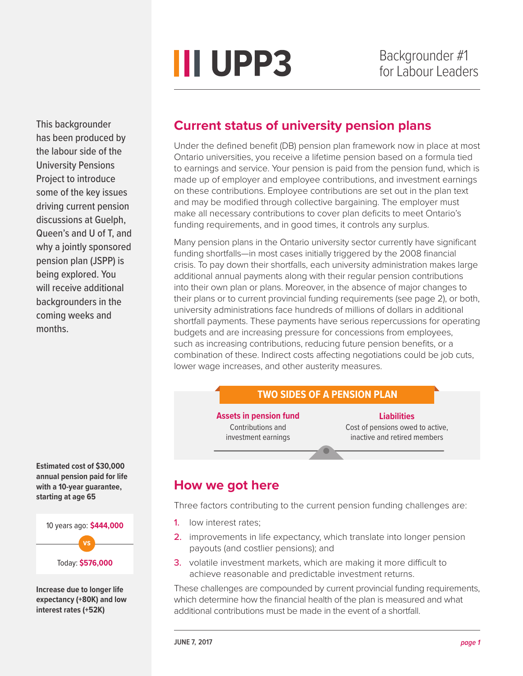**III UPP3** 

This backgrounder has been produced by the labour side of the University Pensions Project to introduce some of the key issues driving current pension discussions at Guelph, Queen's and U of T, and why a jointly sponsored pension plan (JSPP) is being explored. You will receive additional backgrounders in the coming weeks and months.

**Estimated cost of \$30,000 annual pension paid for life with a 10-year guarantee, starting at age 65**

10 years ago: **\$444,000** Today: **\$576,000 vs**

**Increase due to longer life expectancy (+80K) and low interest rates (+52K)**

## **Current status of university pension plans**

Under the defined benefit (DB) pension plan framework now in place at most Ontario universities, you receive a lifetime pension based on a formula tied to earnings and service. Your pension is paid from the pension fund, which is made up of employer and employee contributions, and investment earnings on these contributions. Employee contributions are set out in the plan text and may be modified through collective bargaining. The employer must make all necessary contributions to cover plan deficits to meet Ontario's funding requirements, and in good times, it controls any surplus.

Many pension plans in the Ontario university sector currently have significant funding shortfalls—in most cases initially triggered by the 2008 financial crisis. To pay down their shortfalls, each university administration makes large additional annual payments along with their regular pension contributions into their own plan or plans. Moreover, in the absence of major changes to their plans or to current provincial funding requirements (see page 2), or both, university administrations face hundreds of millions of dollars in additional shortfall payments. These payments have serious repercussions for operating budgets and are increasing pressure for concessions from employees, such as increasing contributions, reducing future pension benefits, or a combination of these. Indirect costs affecting negotiations could be job cuts, lower wage increases, and other austerity measures.

#### **TWO SIDES OF A PENSION PLAN**

**Assets in pension fund** Contributions and investment earnings

**Liabilities** Cost of pensions owed to active, inactive and retired members

#### **How we got here**

Three factors contributing to the current pension funding challenges are:

- 1. low interest rates;
- 2. improvements in life expectancy, which translate into longer pension payouts (and costlier pensions); and
- **3.** volatile investment markets, which are making it more difficult to achieve reasonable and predictable investment returns.

These challenges are compounded by current provincial funding requirements, which determine how the financial health of the plan is measured and what additional contributions must be made in the event of a shortfall.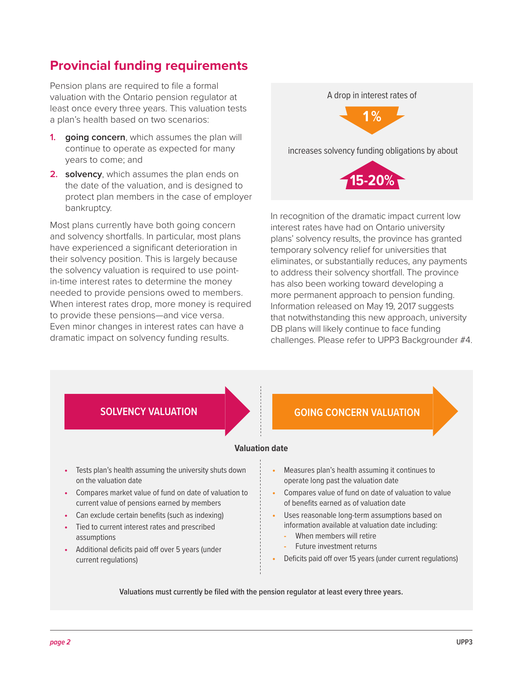## **Provincial funding requirements**

Pension plans are required to file a formal valuation with the Ontario pension regulator at least once every three years. This valuation tests a plan's health based on two scenarios:

- **1. going concern**, which assumes the plan will continue to operate as expected for many years to come; and
- **2. solvency**, which assumes the plan ends on the date of the valuation, and is designed to protect plan members in the case of employer bankruptcy.

Most plans currently have both going concern and solvency shortfalls. In particular, most plans have experienced a significant deterioration in their solvency position. This is largely because the solvency valuation is required to use pointin-time interest rates to determine the money needed to provide pensions owed to members. When interest rates drop, more money is required to provide these pensions—and vice versa. Even minor changes in interest rates can have a dramatic impact on solvency funding results.

A drop in interest rates of



increases solvency funding obligations by about



In recognition of the dramatic impact current low interest rates have had on Ontario university plans' solvency results, the province has granted temporary solvency relief for universities that eliminates, or substantially reduces, any payments to address their solvency shortfall. The province has also been working toward developing a more permanent approach to pension funding. Information released on May 19, 2017 suggests that notwithstanding this new approach, university DB plans will likely continue to face funding challenges. Please refer to UPP3 Backgrounder #4.



- **•** Tests plan's health assuming the university shuts down on the valuation date
- **•** Compares market value of fund on date of valuation to current value of pensions earned by members
- **•** Can exclude certain benefits (such as indexing)
- **•** Tied to current interest rates and prescribed assumptions
- **•** Additional deficits paid off over 5 years (under current regulations)

- - **•** Measures plan's health assuming it continues to operate long past the valuation date
- **•** Compares value of fund on date of valuation to value of benefits earned as of valuation date
- **•** Uses reasonable long-term assumptions based on information available at valuation date including:
	- **-** When members will retire
	- **-** Future investment returns
- **•** Deficits paid off over 15 years (under current regulations)

**Valuations must currently be filed with the pension regulator at least every three years.**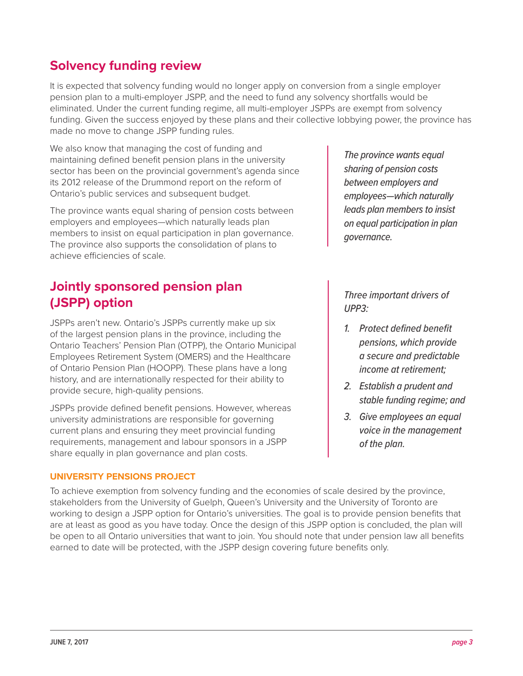### **Solvency funding review**

It is expected that solvency funding would no longer apply on conversion from a single employer pension plan to a multi-employer JSPP, and the need to fund any solvency shortfalls would be eliminated. Under the current funding regime, all multi-employer JSPPs are exempt from solvency funding. Given the success enjoyed by these plans and their collective lobbying power, the province has made no move to change JSPP funding rules.

We also know that managing the cost of funding and maintaining defined benefit pension plans in the university sector has been on the provincial government's agenda since its 2012 release of the Drummond report on the reform of Ontario's public services and subsequent budget.

The province wants equal sharing of pension costs between employers and employees—which naturally leads plan members to insist on equal participation in plan governance. The province also supports the consolidation of plans to achieve efficiencies of scale.

## **Jointly sponsored pension plan (JSPP) option**

JSPPs aren't new. Ontario's JSPPs currently make up six of the largest pension plans in the province, including the Ontario Teachers' Pension Plan (OTPP), the Ontario Municipal Employees Retirement System (OMERS) and the Healthcare of Ontario Pension Plan (HOOPP). These plans have a long history, and are internationally respected for their ability to provide secure, high-quality pensions.

JSPPs provide defined benefit pensions. However, whereas university administrations are responsible for governing current plans and ensuring they meet provincial funding requirements, management and labour sponsors in a JSPP share equally in plan governance and plan costs.

#### **UNIVERSITY PENSIONS PROJECT**

*The province wants equal sharing of pension costs between employers and employees—which naturally leads plan members to insist on equal participation in plan governance.* 

*Three important drivers of UPP3:*

- *1. Protect defined benefit pensions, which provide a secure and predictable income at retirement;*
- *2. Establish a prudent and stable funding regime; and*
- *3. Give employees an equal voice in the management of the plan.*

To achieve exemption from solvency funding and the economies of scale desired by the province, stakeholders from the University of Guelph, Queen's University and the University of Toronto are working to design a JSPP option for Ontario's universities. The goal is to provide pension benefits that are at least as good as you have today. Once the design of this JSPP option is concluded, the plan will be open to all Ontario universities that want to join. You should note that under pension law all benefits earned to date will be protected, with the JSPP design covering future benefits only.